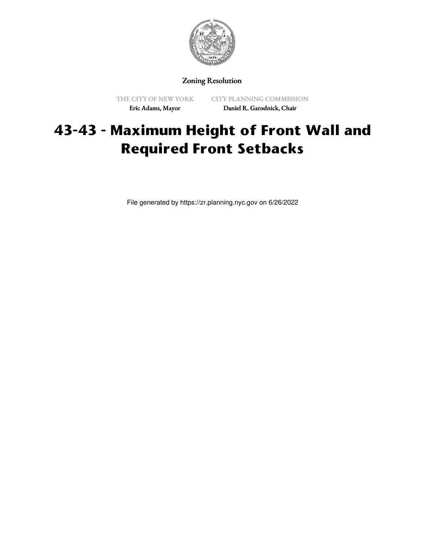

Zoning Resolution

THE CITY OF NEW YORK Eric Adams, Mayor

CITY PLANNING COMMISSION Daniel R. Garodnick, Chair

## **43-43 - Maximum Height of Front Wall and Required Front Setbacks**

File generated by https://zr.planning.nyc.gov on 6/26/2022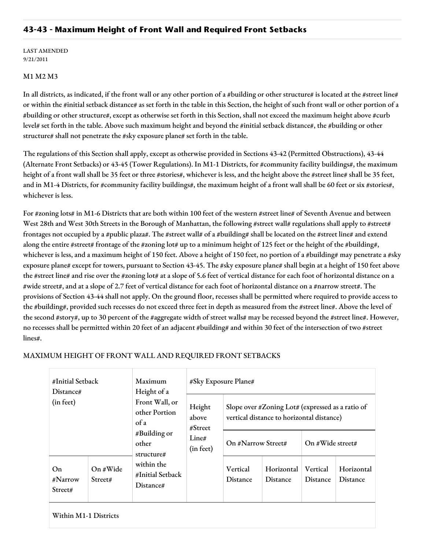## **43-43 - Maximum Height of Front Wall and Required Front Setbacks**

LAST AMENDED 9/21/2011

## M1 M2 M3

In all districts, as indicated, if the front wall or any other portion of a #building or other structure# is located at the #street line# or within the #initial setback distance# as set forth in the table in this Section, the height of such front wall or other portion of a #building or other structure#, except as otherwise set forth in this Section, shall not exceed the maximum height above #curb level# set forth in the table. Above such maximum height and beyond the #initial setback distance#, the #building or other structure# shall not penetrate the #sky exposure plane# set forth in the table.

The regulations of this Section shall apply, except as otherwise provided in Sections 43-42 (Permitted Obstructions), 43-44 (Alternate Front Setbacks) or 43-45 (Tower Regulations). In M1-1 Districts, for #community facility buildings#, the maximum height of a front wall shall be 35 feet or three #stories#, whichever is less, and the height above the #street line# shall be 35 feet, and in M1-4 Districts, for #community facility buildings#, the maximum height of a front wall shall be 60 feet or six #stories#, whichever is less.

For #zoning lots# in M1-6 Districts that are both within 100 feet of the western #street line# of Seventh Avenue and between West 28th and West 30th Streets in the Borough of Manhattan, the following #street wall# regulations shall apply to #street# frontages not occupied by a #public plaza#. The #street wall# of a #building# shall be located on the #street line# and extend along the entire #street# frontage of the #zoning lot# up to a minimum height of 125 feet or the height of the #building#, whichever is less, and a maximum height of 150 feet. Above a height of 150 feet, no portion of a #building# may penetrate a #sky exposure plane# except for towers, pursuant to Section 43-45. The #sky exposure plane# shall begin at a height of 150 feet above the #street line# and rise over the #zoning lot# at a slope of 5.6 feet of vertical distance for each foot of horizontal distance on a #wide street#, and at a slope of 2.7 feet of vertical distance for each foot of horizontal distance on a #narrow street#. The provisions of Section 43-44 shall not apply. On the ground floor, recesses shall be permitted where required to provide access to the #building#, provided such recesses do not exceed three feet in depth as measured from the #street line#. Above the level of the second #story#, up to 30 percent of the #aggregate width of street walls# may be recessed beyond the #street line#. However, no recesses shall be permitted within 20 feet of an adjacent #building# and within 30 feet of the intersection of two #street lines#.

| #Initial Setback<br>Distance# |                     | Maximum<br>Height of a<br>Front Wall, or<br>other Portion<br>of a<br>#Building or<br>other<br>structure# | #Sky Exposure Plane#                              |                                                                                                          |                               |                             |                               |
|-------------------------------|---------------------|----------------------------------------------------------------------------------------------------------|---------------------------------------------------|----------------------------------------------------------------------------------------------------------|-------------------------------|-----------------------------|-------------------------------|
| (in feet)                     |                     |                                                                                                          | Height<br>above<br># Street<br>Line#<br>(in feet) | Slope over $\# \text{Zoning}$ Lot# (expressed as a ratio of<br>vertical distance to horizontal distance) |                               |                             |                               |
|                               |                     |                                                                                                          |                                                   | On #Narrow Street#                                                                                       |                               | On #Wide street#            |                               |
| On<br>#Narrow<br>Street#      | On #Wide<br>Street# | within the<br>#Initial Setback<br>Distance#                                                              |                                                   | Vertical<br><b>Distance</b>                                                                              | Horizontal<br><b>Distance</b> | Vertical<br><b>Distance</b> | Horizontal<br><b>Distance</b> |
| Within M1-1 Districts         |                     |                                                                                                          |                                                   |                                                                                                          |                               |                             |                               |

## MAXIMUM HEIGHT OF FRONT WALL AND REQUIRED FRONT SETBACKS